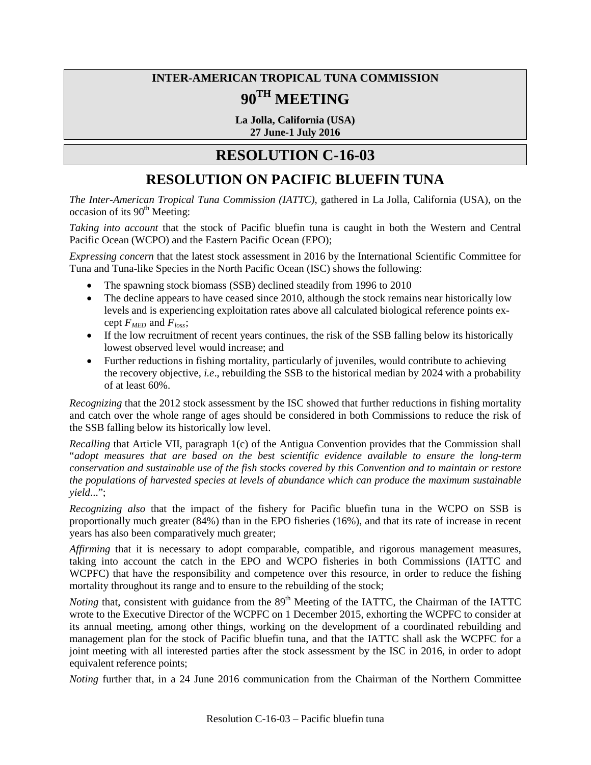## **INTER-AMERICAN TROPICAL TUNA COMMISSION 90TH MEETING**

**La Jolla, California (USA) 27 June-1 July 2016**

## **RESOLUTION C-16-03**

## **RESOLUTION ON PACIFIC BLUEFIN TUNA**

*The Inter-American Tropical Tuna Commission (IATTC)*, gathered in La Jolla, California (USA), on the  $\alpha$  occasion of its  $90<sup>th</sup>$  Meeting:

*Taking into account* that the stock of Pacific bluefin tuna is caught in both the Western and Central Pacific Ocean (WCPO) and the Eastern Pacific Ocean (EPO);

*Expressing concern* that the latest stock assessment in 2016 by the International Scientific Committee for Tuna and Tuna-like Species in the North Pacific Ocean (ISC) shows the following:

- The spawning stock biomass (SSB) declined steadily from 1996 to 2010
- The decline appears to have ceased since 2010, although the stock remains near historically low levels and is experiencing exploitation rates above all calculated biological reference points except  $F_{\text{MED}}$  and  $F_{\text{loss}}$ ;
- If the low recruitment of recent years continues, the risk of the SSB falling below its historically lowest observed level would increase; and
- Further reductions in fishing mortality, particularly of juveniles, would contribute to achieving the recovery objective, *i.e*., rebuilding the SSB to the historical median by 2024 with a probability of at least 60%.

*Recognizing* that the 2012 stock assessment by the ISC showed that further reductions in fishing mortality and catch over the whole range of ages should be considered in both Commissions to reduce the risk of the SSB falling below its historically low level.

*Recalling* that Article VII, paragraph 1(c) of the Antigua Convention provides that the Commission shall "*adopt measures that are based on the best scientific evidence available to ensure the long-term conservation and sustainable use of the fish stocks covered by this Convention and to maintain or restore the populations of harvested species at levels of abundance which can produce the maximum sustainable yield*...";

*Recognizing also* that the impact of the fishery for Pacific bluefin tuna in the WCPO on SSB is proportionally much greater (84%) than in the EPO fisheries (16%), and that its rate of increase in recent years has also been comparatively much greater;

*Affirming* that it is necessary to adopt comparable, compatible, and rigorous management measures, taking into account the catch in the EPO and WCPO fisheries in both Commissions (IATTC and WCPFC) that have the responsibility and competence over this resource, in order to reduce the fishing mortality throughout its range and to ensure to the rebuilding of the stock;

*Noting* that, consistent with guidance from the 89<sup>th</sup> Meeting of the IATTC, the Chairman of the IATTC wrote to the Executive Director of the WCPFC on 1 December 2015, exhorting the WCPFC to consider at its annual meeting, among other things, working on the development of a coordinated rebuilding and management plan for the stock of Pacific bluefin tuna, and that the IATTC shall ask the WCPFC for a joint meeting with all interested parties after the stock assessment by the ISC in 2016, in order to adopt equivalent reference points;

*Noting* further that, in a 24 June 2016 communication from the Chairman of the Northern Committee